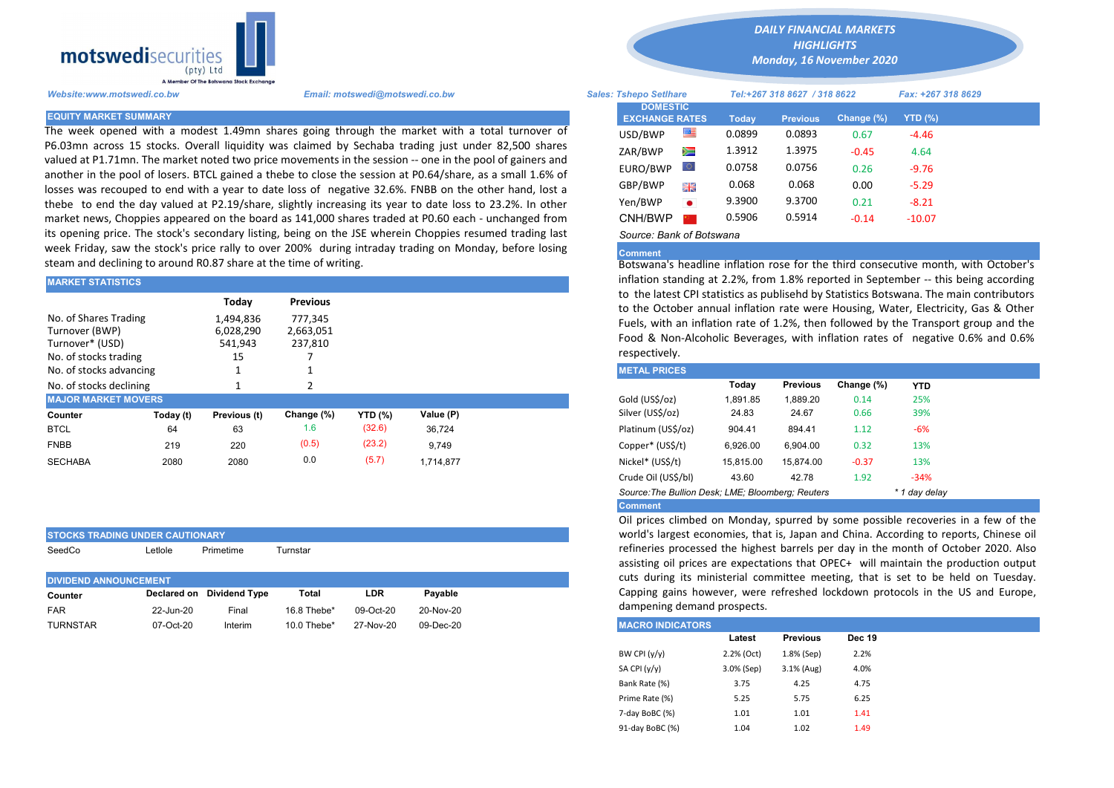

The week opened with a modest 1.49mn shares going through the market with a total turnover of P6.03mn across 15 stocks. Overall liquidity was claimed by Sechaba trading just under 82,500 shares valued at P1.71mn. The market noted two price movements in the session -- one in the pool of gainers and another in the pool of losers. BTCL gained a thebe to close the session at P0.64/share, as a small 1.6% of losses was recouped to end with a year to date loss of negative 32.6%. FNBB on the other hand, lost a thebe to end the day valued at P2.19/share, slightly increasing its year to date loss to 23.2%. In other market news, Choppies appeared on the board as 141,000 shares traded at P0.60 each - unchanged from its opening price. The stock's secondary listing, being on the JSE wherein Choppies resumed trading last week Friday, saw the stock's price rally to over 200% during intraday trading on Monday, before losing steam and declining to around R0.87 share at the time of writing.

| <b>MARKET STATISTICS</b>                                   |           |                                            |                                                    |                | inflation standing at 2.2%, from 1.8% reported in September -- this<br>to the latest CPI statistics as publisehd by Statistics Botswana. The m |                                                                                                                                                                                                                 |           |                 |            |            |  |  |
|------------------------------------------------------------|-----------|--------------------------------------------|----------------------------------------------------|----------------|------------------------------------------------------------------------------------------------------------------------------------------------|-----------------------------------------------------------------------------------------------------------------------------------------------------------------------------------------------------------------|-----------|-----------------|------------|------------|--|--|
| No. of Shares Trading<br>Turnover (BWP)<br>Turnover* (USD) |           | Today<br>1,494,836<br>6,028,290<br>541,943 | <b>Previous</b><br>777.345<br>2,663,051<br>237,810 |                |                                                                                                                                                | to the October annual inflation rate were Housing, Water, Electrici<br>Fuels, with an inflation rate of 1.2%, then followed by the Transpor<br>Food & Non-Alcoholic Beverages, with inflation rates of negative |           |                 |            |            |  |  |
| No. of stocks trading                                      |           | 15                                         |                                                    |                |                                                                                                                                                | respectively.                                                                                                                                                                                                   |           |                 |            |            |  |  |
| No. of stocks advancing                                    |           |                                            |                                                    |                |                                                                                                                                                | <b>METAL PRICES</b>                                                                                                                                                                                             |           |                 |            |            |  |  |
| No. of stocks declining                                    |           |                                            |                                                    |                |                                                                                                                                                |                                                                                                                                                                                                                 | Today     | <b>Previous</b> | Change (%) | <b>YTD</b> |  |  |
| <b>MAJOR MARKET MOVERS</b>                                 |           |                                            |                                                    |                |                                                                                                                                                | Gold (US\$/oz)                                                                                                                                                                                                  | 1,891.85  | 1,889.20        | 0.14       | 25%        |  |  |
| Counter                                                    | Today (t) | Previous (t)                               | Change (%)                                         | <b>YTD (%)</b> | Value (P)                                                                                                                                      | Silver (US\$/oz)                                                                                                                                                                                                | 24.83     | 24.67           | 0.66       | 39%        |  |  |
| <b>BTCL</b>                                                | 64        | 63                                         | 1.6                                                | (32.6)         | 36.724                                                                                                                                         | Platinum (US\$/oz)                                                                                                                                                                                              | 904.41    | 894.41          | 1.12       | $-6%$      |  |  |
| <b>FNBB</b>                                                | 219       | 220                                        | (0.5)                                              | (23.2)         | 9,749                                                                                                                                          | Copper* (US\$/t)                                                                                                                                                                                                | 6,926.00  | 6.904.00        | 0.32       | 13%        |  |  |
| <b>SECHABA</b>                                             | 2080      | 2080                                       | 0.0                                                | (5.7)          | 1.714.877                                                                                                                                      | Nickel* (US\$/t)                                                                                                                                                                                                | 15,815.00 | 15,874.00       | $-0.37$    | 13%        |  |  |
|                                                            |           |                                            |                                                    |                |                                                                                                                                                |                                                                                                                                                                                                                 |           |                 |            |            |  |  |

| <b>ISTOCKS TRADING UNDER CAUTIONARY</b> |         |                           |       |            |         |  |  |  |  |  |  |  |
|-----------------------------------------|---------|---------------------------|-------|------------|---------|--|--|--|--|--|--|--|
| SeedCo                                  | Letlole |                           |       |            |         |  |  |  |  |  |  |  |
|                                         |         |                           |       |            |         |  |  |  |  |  |  |  |
|                                         |         |                           |       |            |         |  |  |  |  |  |  |  |
| <b>DIVIDEND ANNOUNCEMENT</b>            |         |                           |       |            |         |  |  |  |  |  |  |  |
| Counter                                 |         | Declared on Dividend Type | Total | <b>LDR</b> | Pavable |  |  |  |  |  |  |  |
|                                         |         |                           |       |            |         |  |  |  |  |  |  |  |

*DAILY FINANCIAL MARKETS*

*HIGHLIGHTS Monday, 16 November 2020* 

| A Member Of the Botswand Stock Exchange |                                                                                                                                                                                                                 |                               |                                          |           |                              |                 |            |                    |  |
|-----------------------------------------|-----------------------------------------------------------------------------------------------------------------------------------------------------------------------------------------------------------------|-------------------------------|------------------------------------------|-----------|------------------------------|-----------------|------------|--------------------|--|
| Website:www.motswedi.co.bw              | Email: motswedi@motswedi.co.bw                                                                                                                                                                                  | <b>Sales: Tshepo Setlhare</b> |                                          |           | Tel:+267 318 8627 / 318 8622 |                 |            | Fax: +267 318 8629 |  |
| <b>EQUITY MARKET SUMMARY</b>            |                                                                                                                                                                                                                 |                               | <b>DOMESTIC</b><br><b>EXCHANGE RATES</b> |           | Today                        | <b>Previous</b> | Change (%) | YTD $(\%)$         |  |
|                                         | The week opened with a modest 1.49mn shares going through the market with a total turnover of                                                                                                                   |                               | USD/BWP                                  | ≝         | 0.0899                       | 0.0893          | 0.67       | -4.46              |  |
|                                         | 06.03mn across 15 stocks. Overall liquidity was claimed by Sechaba trading just under 82,500 shares<br>ralued at P1.71mn. The market noted two price movements in the session -- one in the pool of gainers and |                               | ZAR/BWP                                  | ▓         | 1.3912                       | 1.3975          | $-0.45$    | 4.64               |  |
|                                         | another in the pool of losers. BTCL gained a thebe to close the session at P0.64/share, as a small 1.6% of                                                                                                      |                               | EURO/BWP                                 | Ю.        | 0.0758                       | 0.0756          | 0.26       | $-9.76$            |  |
|                                         | osses was recouped to end with a year to date loss of negative 32.6%. FNBB on the other hand, lost a                                                                                                            |                               | GBP/BWP                                  | 開業        | 0.068                        | 0.068           | 0.00       | $-5.29$            |  |
|                                         | hebe to end the day valued at P2.19/share, slightly increasing its year to date loss to 23.2%. In other                                                                                                         |                               | Yen/BWP                                  | $\bullet$ | 9.3900                       | 9.3700          | 0.21       | $-8.21$            |  |
|                                         | market news, Choppies appeared on the board as 141,000 shares traded at P0.60 each - unchanged from                                                                                                             |                               | CNH/BWP                                  |           | 0.5906                       | 0.5914          | $-0.14$    | $-10.07$           |  |
|                                         | ts opening price. The stock's secondary listing, being on the JSE wherein Choppies resumed trading last                                                                                                         |                               | Source: Bank of Botswana                 |           |                              |                 |            |                    |  |

## **Comment**

Botswana's headline inflation rose for the third consecutive month, with October's inflation standing at 2.2%, from 1.8% reported in September -- this being according to the latest CPI statistics as publisehd by Statistics Botswana. The main contributors to the October annual inflation rate were Housing, Water, Electricity, Gas & Other Fuels, with an inflation rate of 1.2%, then followed by the Transport group and the Food & Non-Alcoholic Beverages, with inflation rates of negative 0.6% and 0.6% respectively.

| <b>METAL PRICES</b>                               |           |                 |            |               |
|---------------------------------------------------|-----------|-----------------|------------|---------------|
|                                                   | Today     | <b>Previous</b> | Change (%) | <b>YTD</b>    |
| Gold (US\$/oz)                                    | 1.891.85  | 1.889.20        | 0.14       | 25%           |
| Silver (US\$/oz)                                  | 24.83     | 24.67           | 0.66       | 39%           |
| Platinum (US\$/oz)                                | 904.41    | 894.41          | 1.12       | $-6%$         |
| Copper* (US\$/t)                                  | 6,926.00  | 6.904.00        | 0.32       | 13%           |
| Nickel* (US\$/t)                                  | 15.815.00 | 15.874.00       | $-0.37$    | 13%           |
| Crude Oil (US\$/bl)                               | 43.60     | 42.78           | 1.92       | $-34%$        |
| Source: The Bullion Desk: LME; Bloomberg: Reuters |           |                 |            | * 1 day delay |
| <b>Comment</b>                                    |           |                 |            |               |

Oil prices climbed on Monday, spurred by some possible recoveries in a few of the world's largest economies, that is, Japan and China. According to reports, Chinese oil refineries processed the highest barrels per day in the month of October 2020. Also assisting oil prices are expectations that OPEC+ will maintain the production output cuts during its ministerial committee meeting, that is set to be held on Tuesday. Capping gains however, were refreshed lockdown protocols in the US and Europe, dampening demand prospects.

| TURNSTAR | 07-Oct-20 | Interim | 10.0 Thebe* | 27-Nov-20 | 09-Dec-20 | <b>MACRO INDICATORS</b> |            |                 |               |  |
|----------|-----------|---------|-------------|-----------|-----------|-------------------------|------------|-----------------|---------------|--|
|          |           |         |             |           |           |                         | Latest     | <b>Previous</b> | <b>Dec 19</b> |  |
|          |           |         |             |           |           | BW CPI (y/y)            | 2.2% (Oct) | 1.8% (Sep)      | 2.2%          |  |
|          |           |         |             |           |           | SA CPI (y/y)            | 3.0% (Sep) | 3.1% (Aug)      | 4.0%          |  |
|          |           |         |             |           |           | Bank Rate (%)           | 3.75       | 4.25            | 4.75          |  |
|          |           |         |             |           |           | Prime Rate (%)          | 5.25       | 5.75            | 6.25          |  |
|          |           |         |             |           |           | 7-day BoBC (%)          | 1.01       | 1.01            | 1.41          |  |
|          |           |         |             |           |           | 91-day BoBC (%)         | 1.04       | 1.02            | 1.49          |  |